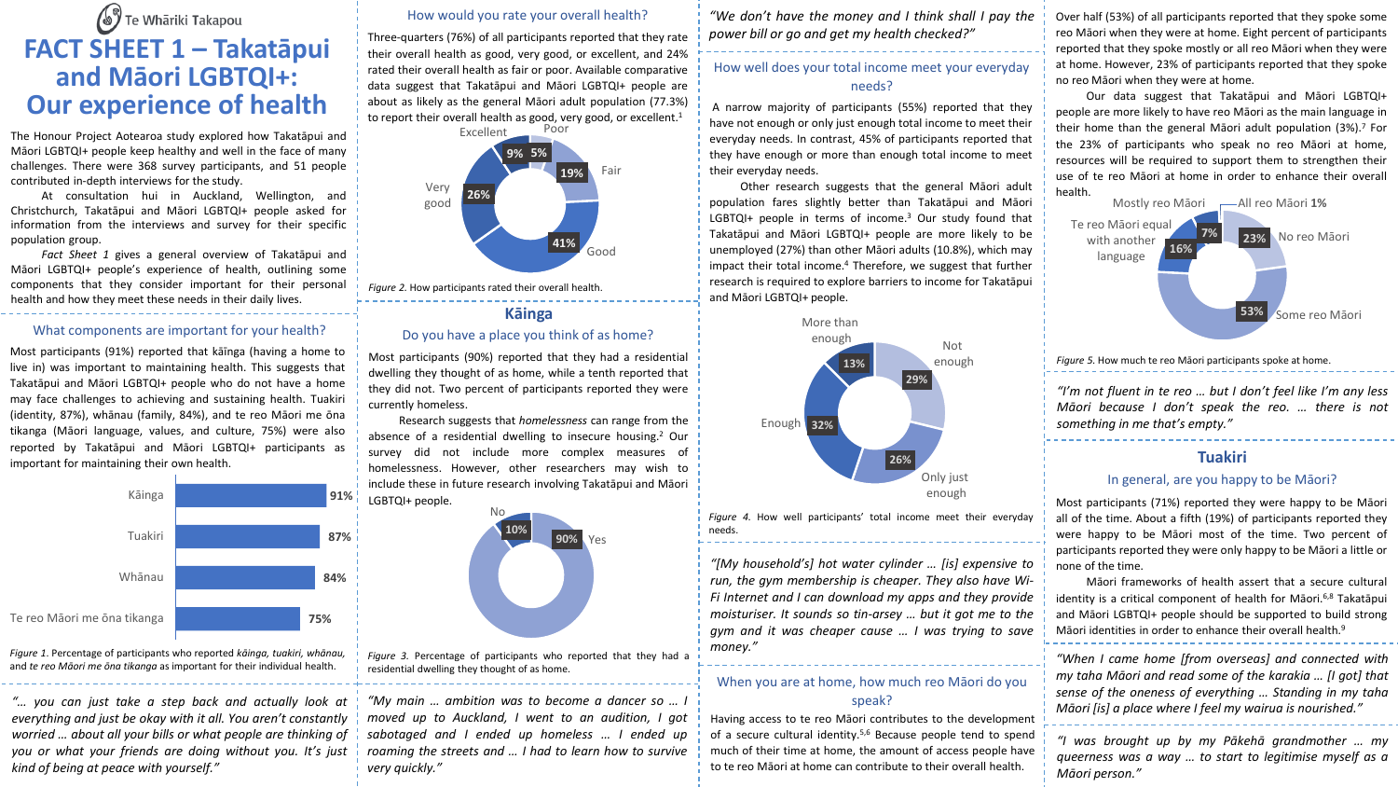# Te Whāriki Takapou **FACT SHEET 1 – Takatāpui and Māori LGBTQI+: Our experience of health**

The Honour Project Aotearoa study explored how Takatāpui and Māori LGBTQI+ people keep healthy and well in the face of many challenges. There were 368 survey participants, and 51 people contributed in-depth interviews for the study.

At consultation hui in Auckland, Wellington, and Christchurch, Takatāpui and Māori LGBTQI+ people asked for information from the interviews and survey for their specific population group.

*Fact Sheet 1* gives a general overview of Takatāpui and Māori LGBTQI+ people's experience of health, outlining some components that they consider important for their personal health and how they meet these needs in their daily lives.

#### What components are important for your health?

Most participants (91%) reported that kāīnga (having a home to live in) was important to maintaining health. This suggests that Takatāpui and Māori LGBTQI+ people who do not have a home may face challenges to achieving and sustaining health. Tuakiri (identity, 87%), whānau (family, 84%), and te reo Māori me ōna tikanga (Māori language, values, and culture, 75%) were also reported by Takatāpui and Māori LGBTQI+ participants as important for maintaining their own health.



*Figure 1*. Percentage of participants who reported *kāinga, tuakiri, whānau,* and *te reo Māori me ōna tikanga* as important for their individual health.

*"… you can just take a step back and actually look at everything and just be okay with it all. You aren't constantly worried … about all your bills or what people are thinking of you or what your friends are doing without you. It's just kind of being at peace with yourself."*

#### How would you rate your overall health?

Three-quarters (76%) of all participants reported that they rate their overall health as good, very good, or excellent, and 24% rated their overall health as fair or poor. Available comparative data suggest that Takatāpui and Māori LGBTQI+ people are about as likely as the general Māori adult population (77.3%) to report their overall health as good, very good, or excellent.<sup>1</sup>



*Figure 2.* How participants rated their overall health.

## **Kāinga** Do you have a place you think of as home?

Most participants (90%) reported that they had a residential dwelling they thought of as home, while a tenth reported that they did not. Two percent of participants reported they were currently homeless.

Research suggests that *homelessness* can range from the absence of a residential dwelling to insecure housing. <sup>2</sup> Our survey did not include more complex measures of homelessness. However, other researchers may wish to include these in future research involving Takatāpui and Māori LGBTQI+ people.



*Figure 3.* Percentage of participants who reported that they had a residential dwelling they thought of as home.

*"My main … ambition was to become a dancer so … I moved up to Auckland, I went to an audition, I got sabotaged and I ended up homeless … I ended up roaming the streets and … I had to learn how to survive very quickly."*

*"We don't have the money and I think shall I pay the power bill or go and get my health checked?"*

## How well does your total income meet your everyday needs?

A narrow majority of participants (55%) reported that they have not enough or only just enough total income to meet their everyday needs. In contrast, 45% of participants reported that they have enough or more than enough total income to meet their everyday needs.

Other research suggests that the general Māori adult population fares slightly better than Takatāpui and Māori LGBTQI+ people in terms of income. <sup>3</sup> Our study found that Takatāpui and Māori LGBTQI+ people are more likely to be unemployed (27%) than other Māori adults (10.8%), which may impact their total income. <sup>4</sup> Therefore, we suggest that further research is required to explore barriers to income for Takatāpui and Māori LGBTQI+ people.



*Figure 4.* How well participants' total income meet their everyday needs.

*"[My household's] hot water cylinder … [is] expensive to run, the gym membership is cheaper. They also have Wi-Fi Internet and I can download my apps and they provide moisturiser. It sounds so tin-arsey … but it got me to the gym and it was cheaper cause … I was trying to save money."*

## When you are at home, how much reo Māori do you speak?

Having access to te reo Māori contributes to the development of a secure cultural identity. 5,6 Because people tend to spend much of their time at home, the amount of access people have to te reo Māori at home can contribute to their overall health.

Over half (53%) of all participants reported that they spoke some reo Māori when they were at home. Eight percent of participants reported that they spoke mostly or all reo Māori when they were at home. However, 23% of participants reported that they spoke no reo Māori when they were at home.

Our data suggest that Takatāpui and Māori LGBTQI+ people are more likely to have reo Māori as the main language in their home than the general Māori adult population (3%). <sup>7</sup> For the 23% of participants who speak no reo Māori at home, resources will be required to support them to strengthen their use of te reo Māori at home in order to enhance their overall health.



*Figure 5.* How much te reo Māori participants spoke at home.

*"I'm not fluent in te reo … but I don't feel like I'm any less Māori because I don't speak the reo. … there is not something in me that's empty."*

## **Tuakiri**

#### In general, are you happy to be Māori?

Most participants (71%) reported they were happy to be Māori all of the time. About a fifth (19%) of participants reported they were happy to be Māori most of the time. Two percent of participants reported they were only happy to be Māori a little or none of the time.

Māori frameworks of health assert that a secure cultural identity is a critical component of health for Māori.<sup>6,8</sup> Takatāpui and Māori LGBTQI+ people should be supported to build strong Māori identities in order to enhance their overall health. 9

*"When I came home [from overseas] and connected with my taha Māori and read some of the karakia … [I got] that sense of the oneness of everything … Standing in my taha Māori [is] a place where I feel my wairua is nourished."*

*"I was brought up by my Pākehā grandmother … my queerness was a way … to start to legitimise myself as a Māori person."*